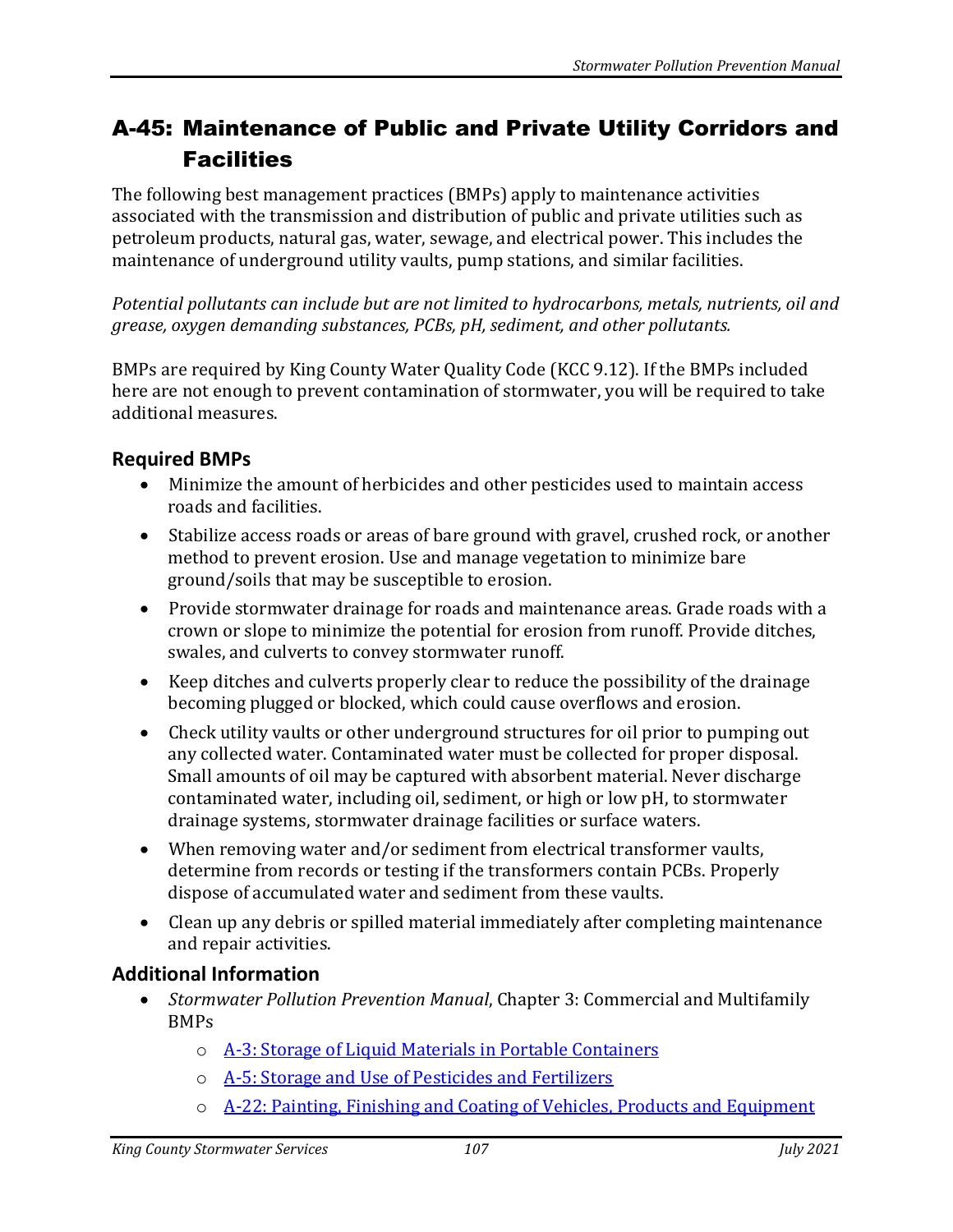## A-45: Maintenance of Public and Private Utility Corridors and **Facilities**

The following best management practices (BMPs) apply to maintenance activities associated with the transmission and distribution of public and private utilities such as petroleum products, natural gas, water, sewage, and electrical power. This includes the maintenance of underground utility vaults, pump stations, and similar facilities.

*Potential pollutants can include but are not limited to hydrocarbons, metals, nutrients, oil and grease, oxygen demanding substances, PCBs, pH, sediment, and other pollutants.* 

BMPs are required by King County Water Quality Code (KCC 9.12). If the BMPs included here are not enough to prevent contamination of stormwater, you will be required to take additional measures.

## **Required BMPs**

- Minimize the amount of herbicides and other pesticides used to maintain access roads and facilities.
- Stabilize access roads or areas of bare ground with gravel, crushed rock, or another method to prevent erosion. Use and manage vegetation to minimize bare ground/soils that may be susceptible to erosion.
- Provide stormwater drainage for roads and maintenance areas. Grade roads with a crown or slope to minimize the potential for erosion from runoff. Provide ditches, swales, and culverts to convey stormwater runoff.
- Keep ditches and culverts properly clear to reduce the possibility of the drainage becoming plugged or blocked, which could cause overflows and erosion.
- Check utility vaults or other underground structures for oil prior to pumping out any collected water. Contaminated water must be collected for proper disposal. Small amounts of oil may be captured with absorbent material. Never discharge contaminated water, including oil, sediment, or high or low pH, to stormwater drainage systems, stormwater drainage facilities or surface waters.
- When removing water and/or sediment from electrical transformer vaults, determine from records or testing if the transformers contain PCBs. Properly dispose of accumulated water and sediment from these vaults.
- Clean up any debris or spilled material immediately after completing maintenance and repair activities.

## **Additional Information**

- *Stormwater Pollution Prevention Manual*, Chapter 3: Commercial and Multifamily BMPs
	- o [A-3: Storage of Liquid Materials in Portable Containers](https://your.kingcounty.gov/dnrp/library/water-and-land/stormwater/stormwater-pollution-prevention-manual/a03-jul21.pdf)
	- o [A-5: Storage and Use of Pesticides and Fertilizers](https://your.kingcounty.gov/dnrp/library/water-and-land/stormwater/stormwater-pollution-prevention-manual/a05-jul21.pdf)
	- o [A-22: Painting, Finishing and Coating of Vehicles, Products and Equipment](https://your.kingcounty.gov/dnrp/library/water-and-land/stormwater/stormwater-pollution-prevention-manual/a22-jul21.pdf)